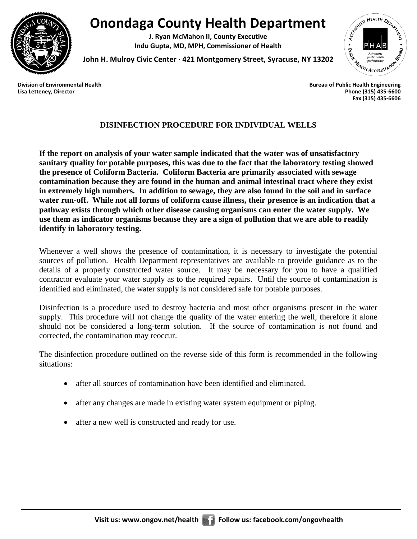

## **Onondaga County Health Department**

**J. Ryan McMahon II, County Executive Indu Gupta, MD, MPH, Commissioner of Health**



**John H. Mulroy Civic Center ∙ 421 Montgomery Street, Syracuse, NY 13202**

**Lisa Letteney, Director Phone (315) 435-6600 Fax (315) 435-6606**

## **DISINFECTION PROCEDURE FOR INDIVIDUAL WELLS**

**If the report on analysis of your water sample indicated that the water was of unsatisfactory sanitary quality for potable purposes, this was due to the fact that the laboratory testing showed the presence of Coliform Bacteria. Coliform Bacteria are primarily associated with sewage contamination because they are found in the human and animal intestinal tract where they exist in extremely high numbers. In addition to sewage, they are also found in the soil and in surface water run-off. While not all forms of coliform cause illness, their presence is an indication that a pathway exists through which other disease causing organisms can enter the water supply. We use them as indicator organisms because they are a sign of pollution that we are able to readily identify in laboratory testing.**

Whenever a well shows the presence of contamination, it is necessary to investigate the potential sources of pollution. Health Department representatives are available to provide guidance as to the details of a properly constructed water source. It may be necessary for you to have a qualified contractor evaluate your water supply as to the required repairs. Until the source of contamination is identified and eliminated, the water supply is not considered safe for potable purposes.

Disinfection is a procedure used to destroy bacteria and most other organisms present in the water supply. This procedure will not change the quality of the water entering the well, therefore it alone should not be considered a long-term solution. If the source of contamination is not found and corrected, the contamination may reoccur.

The disinfection procedure outlined on the reverse side of this form is recommended in the following situations:

- after all sources of contamination have been identified and eliminated.
- after any changes are made in existing water system equipment or piping.
- after a new well is constructed and ready for use.